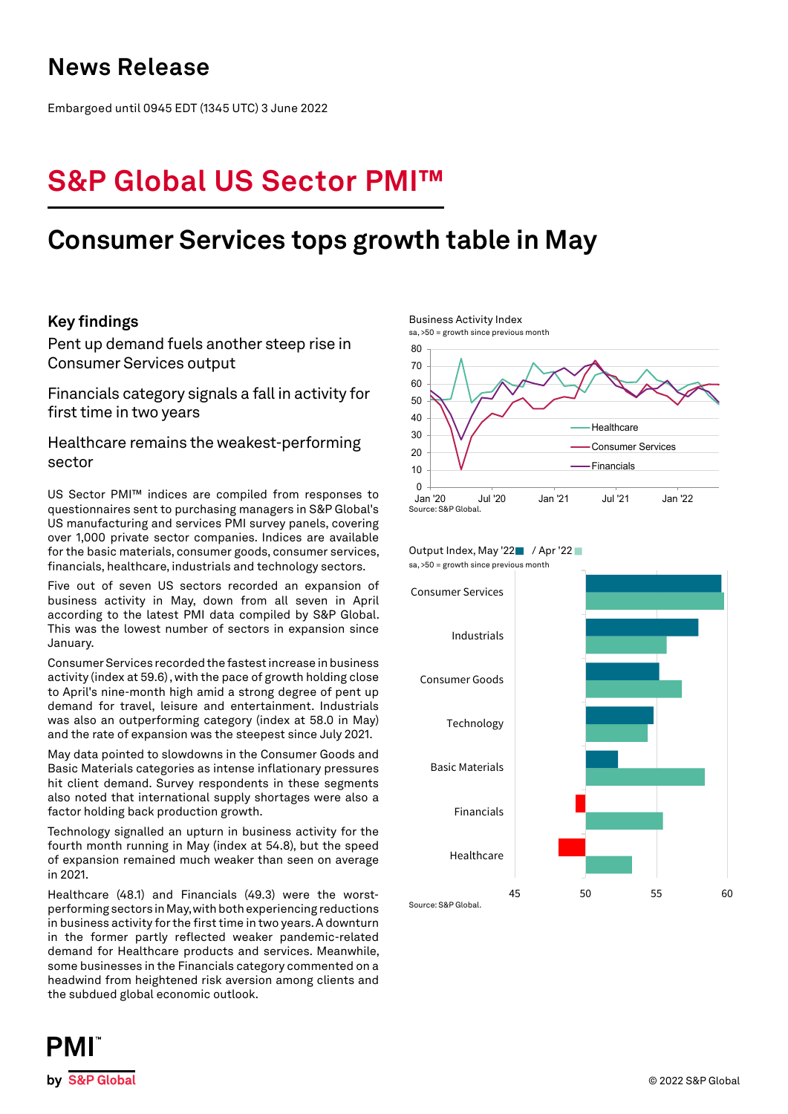## **News Release**

Embargoed until 0945 EDT (1345 UTC) 3 June 2022

# **S&P Global US Sector PMI™**

## **Consumer Services tops growth table in May**

## **Key findings**

Pent up demand fuels another steep rise in Consumer Services output

Financials category signals a fall in activity for first time in two years

## Healthcare remains the weakest-performing sector

US Sector PMI™ indices are compiled from responses to questionnaires sent to purchasing managers in S&P Global's US manufacturing and services PMI survey panels, covering over 1,000 private sector companies. Indices are available for the basic materials, consumer goods, consumer services, financials, healthcare, industrials and technology sectors.

Five out of seven US sectors recorded an expansion of business activity in May, down from all seven in April according to the latest PMI data compiled by S&P Global. This was the lowest number of sectors in expansion since January.

Consumer Services recorded the fastest increase in business activity (index at 59.6) , with the pace of growth holding close to April's nine-month high amid a strong degree of pent up demand for travel, leisure and entertainment. Industrials was also an outperforming category (index at 58.0 in May) and the rate of expansion was the steepest since July 2021.

May data pointed to slowdowns in the Consumer Goods and Basic Materials categories as intense inflationary pressures hit client demand. Survey respondents in these segments also noted that international supply shortages were also a factor holding back production growth.

Technology signalled an upturn in business activity for the fourth month running in May (index at 54.8), but the speed of expansion remained much weaker than seen on average in 2021.

Healthcare (48.1) and Financials (49.3) were the worstperforming sectors in May, with both experiencing reductions in business activity for the first time in two years. A downturn in the former partly reflected weaker pandemic-related demand for Healthcare products and services. Meanwhile, some businesses in the Financials category commented on a headwind from heightened risk aversion among clients and the subdued global economic outlook.